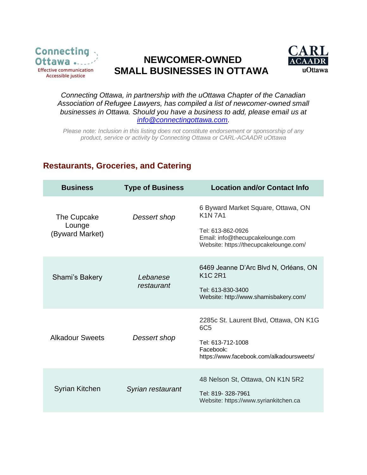

# **NEWCOMER-OWNED SMALL BUSINESSES IN OTTAWA**



*Connecting Ottawa, in partnership with the uOttawa Chapter of the Canadian Association of Refugee Lawyers, has compiled a list of newcomer-owned small businesses in Ottawa. Should you have a business to add, please email us at [info@connectingottawa.com.](mailto:info@connectingottawa.com)* 

*Please note: Inclusion in this listing does not constitute endorsement or sponsorship of any product, service or activity by Connecting Ottawa or CARL-ACAADR uOttawa*

#### **Restaurants, Groceries, and Catering**

| <b>Business</b>                          | <b>Type of Business</b> | <b>Location and/or Contact Info</b>                                                                                                                    |
|------------------------------------------|-------------------------|--------------------------------------------------------------------------------------------------------------------------------------------------------|
| The Cupcake<br>Lounge<br>(Byward Market) | Dessert shop            | 6 Byward Market Square, Ottawa, ON<br><b>K1N7A1</b><br>Tel: 613-862-0926<br>Email: info@thecupcakelounge.com<br>Website: https://thecupcakelounge.com/ |
| Shami's Bakery                           | Lebanese<br>restaurant  | 6469 Jeanne D'Arc Blvd N, Orléans, ON<br><b>K1C 2R1</b><br>Tel: 613-830-3400<br>Website: http://www.shamisbakery.com/                                  |
| <b>Alkadour Sweets</b>                   | Dessert shop            | 2285c St. Laurent Blvd, Ottawa, ON K1G<br>6C <sub>5</sub><br>Tel: 613-712-1008<br>Facebook:<br>https://www.facebook.com/alkadoursweets/                |
| Syrian Kitchen                           | Syrian restaurant       | 48 Nelson St, Ottawa, ON K1N 5R2<br>Tel: 819-328-7961<br>Website: https://www.syriankitchen.ca                                                         |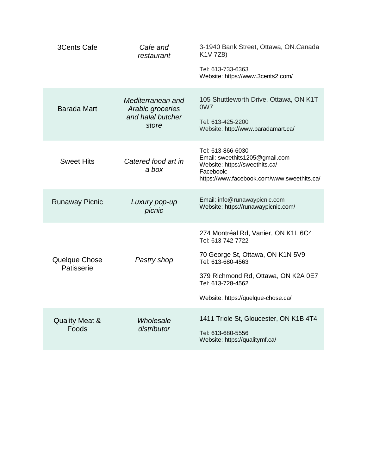| <b>3Cents Cafe</b>                 | Cafe and<br>restaurant                                              | 3-1940 Bank Street, Ottawa, ON.Canada<br>K1V 7Z8)<br>Tel: 613-733-6363<br>Website: https://www.3cents2.com/                                                                                                         |
|------------------------------------|---------------------------------------------------------------------|---------------------------------------------------------------------------------------------------------------------------------------------------------------------------------------------------------------------|
| <b>Barada Mart</b>                 | Mediterranean and<br>Arabic groceries<br>and halal butcher<br>store | 105 Shuttleworth Drive, Ottawa, ON K1T<br>0W7<br>Tel: 613-425-2200<br>Website: http://www.baradamart.ca/                                                                                                            |
| <b>Sweet Hits</b>                  | Catered food art in<br>a box                                        | Tel: 613-866-6030<br>Email: sweethits1205@gmail.com<br>Website: https://sweethits.ca/<br>Facebook:<br>https://www.facebook.com/www.sweethits.ca/                                                                    |
| <b>Runaway Picnic</b>              | Luxury pop-up<br>picnic                                             | Email: info@runawaypicnic.com<br>Website: https://runawaypicnic.com/                                                                                                                                                |
| Quelque Chose<br>Patisserie        | Pastry shop                                                         | 274 Montréal Rd, Vanier, ON K1L 6C4<br>Tel: 613-742-7722<br>70 George St, Ottawa, ON K1N 5V9<br>Tel: 613-680-4563<br>379 Richmond Rd, Ottawa, ON K2A 0E7<br>Tel: 613-728-4562<br>Website: https://quelque-chose.ca/ |
| <b>Quality Meat &amp;</b><br>Foods | Wholesale<br>distributor                                            | 1411 Triole St, Gloucester, ON K1B 4T4<br>Tel: 613-680-5556<br>Website: https://qualitymf.ca/                                                                                                                       |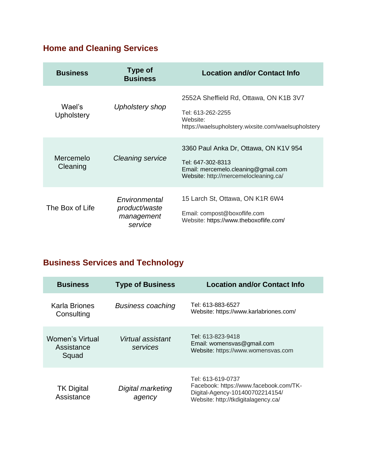# **Home and Cleaning Services**

| <b>Business</b>             | Type of<br><b>Business</b>                              | <b>Location and/or Contact Info</b>                                                                                                        |
|-----------------------------|---------------------------------------------------------|--------------------------------------------------------------------------------------------------------------------------------------------|
| Wael's<br><b>Upholstery</b> | Upholstery shop                                         | 2552A Sheffield Rd, Ottawa, ON K1B 3V7<br>Tel: 613-262-2255<br>Website:<br>https://waelsupholstery.wixsite.com/waelsupholstery             |
| Mercemelo<br>Cleaning       | <b>Cleaning service</b>                                 | 3360 Paul Anka Dr, Ottawa, ON K1V 954<br>Tel: 647-302-8313<br>Email: mercemelo.cleaning@gmail.com<br>Website: http://mercemelocleaning.ca/ |
| The Box of Life             | Environmental<br>product/waste<br>management<br>service | 15 Larch St, Ottawa, ON K1R 6W4<br>Email: compost@boxoflife.com<br>Website: https://www.theboxoflife.com/                                  |

# **Business Services and Technology**

| <b>Business</b>                        | <b>Type of Business</b>       | <b>Location and/or Contact Info</b>                                                                                                   |
|----------------------------------------|-------------------------------|---------------------------------------------------------------------------------------------------------------------------------------|
| <b>Karla Briones</b><br>Consulting     | <b>Business coaching</b>      | Tel: 613-883-6527<br>Website: https://www.karlabriones.com/                                                                           |
| Women's Virtual<br>Assistance<br>Squad | Virtual assistant<br>services | Tel: 613-823-9418<br>Email: womensvas@gmail.com<br>Website: https://www.womensvas.com                                                 |
| <b>TK Digital</b><br>Assistance        | Digital marketing<br>agency   | Tel: 613-619-0737<br>Facebook: https://www.facebook.com/TK-<br>Digital-Agency-101400702214154/<br>Website: http://tkdigitalagency.ca/ |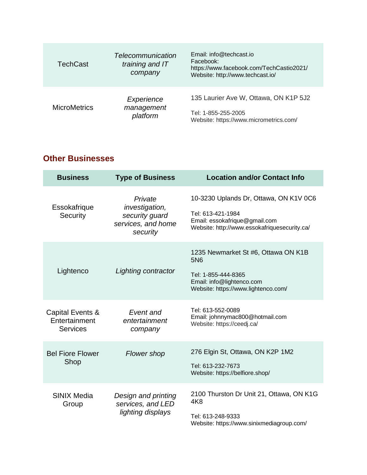| <b>TechCast</b>     | Telecommunication<br>training and IT<br>company | Email: info@techcast.io<br>Facebook:<br>https://www.facebook.com/TechCastio2021/<br>Website: http://www.techcast.io/ |
|---------------------|-------------------------------------------------|----------------------------------------------------------------------------------------------------------------------|
| <b>MicroMetrics</b> | Experience<br>management<br>platform            | 135 Laurier Ave W, Ottawa, ON K1P 5J2<br>Tel: 1-855-255-2005<br>Website: https://www.micrometrics.com/               |

#### **Other Businesses**

| <b>Business</b>                                      | <b>Type of Business</b>                                                       | <b>Location and/or Contact Info</b>                                                                                                               |
|------------------------------------------------------|-------------------------------------------------------------------------------|---------------------------------------------------------------------------------------------------------------------------------------------------|
| Essokafrique<br>Security                             | Private<br>investigation,<br>security guard<br>services, and home<br>security | 10-3230 Uplands Dr, Ottawa, ON K1V 0C6<br>Tel: 613-421-1984<br>Email: essokafrique@gmail.com<br>Website: http://www.essokafriquesecurity.ca/      |
| Lightenco                                            | Lighting contractor                                                           | 1235 Newmarket St #6, Ottawa ON K1B<br>5N <sub>6</sub><br>Tel: 1-855-444-8365<br>Email: info@lightenco.com<br>Website: https://www.lightenco.com/ |
| Capital Events &<br>Entertainment<br><b>Services</b> | Event and<br>entertainment<br>company                                         | Tel: 613-552-0089<br>Email: johnnymac800@hotmail.com<br>Website: https://ceedj.ca/                                                                |
| <b>Bel Fiore Flower</b><br>Shop                      | <b>Flower shop</b>                                                            | 276 Elgin St, Ottawa, ON K2P 1M2<br>Tel: 613-232-7673<br>Website: https://belfiore.shop/                                                          |
| <b>SINIX Media</b><br>Group                          | Design and printing<br>services, and LED<br>lighting displays                 | 2100 Thurston Dr Unit 21, Ottawa, ON K1G<br>4K8<br>Tel: 613-248-9333<br>Website: https://www.sinixmediagroup.com/                                 |